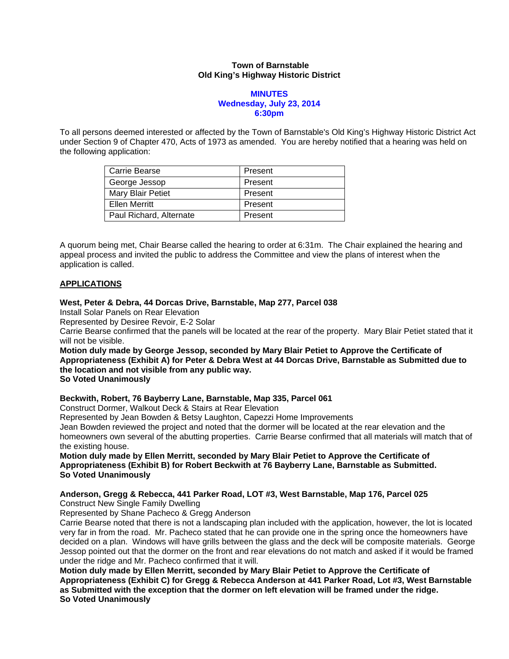### **Town of Barnstable Old King's Highway Historic District**

### **MINUTES Wednesday, July 23, 2014 6:30pm**

To all persons deemed interested or affected by the Town of Barnstable's Old King's Highway Historic District Act under Section 9 of Chapter 470, Acts of 1973 as amended. You are hereby notified that a hearing was held on the following application:

| <b>Carrie Bearse</b>    | Present |
|-------------------------|---------|
| George Jessop           | Present |
| Mary Blair Petiet       | Present |
| Ellen Merritt           | Present |
| Paul Richard, Alternate | Present |

A quorum being met, Chair Bearse called the hearing to order at 6:31m. The Chair explained the hearing and appeal process and invited the public to address the Committee and view the plans of interest when the application is called.

## **APPLICATIONS**

### **West, Peter & Debra, 44 Dorcas Drive, Barnstable, Map 277, Parcel 038**

Install Solar Panels on Rear Elevation

Represented by Desiree Revoir, E-2 Solar

Carrie Bearse confirmed that the panels will be located at the rear of the property. Mary Blair Petiet stated that it will not be visible.

**Motion duly made by George Jessop, seconded by Mary Blair Petiet to Approve the Certificate of Appropriateness (Exhibit A) for Peter & Debra West at 44 Dorcas Drive, Barnstable as Submitted due to the location and not visible from any public way. So Voted Unanimously** 

## **Beckwith, Robert, 76 Bayberry Lane, Barnstable, Map 335, Parcel 061**

Construct Dormer, Walkout Deck & Stairs at Rear Elevation

Represented by Jean Bowden & Betsy Laughton, Capezzi Home Improvements

Jean Bowden reviewed the project and noted that the dormer will be located at the rear elevation and the homeowners own several of the abutting properties. Carrie Bearse confirmed that all materials will match that of the existing house.

**Motion duly made by Ellen Merritt, seconded by Mary Blair Petiet to Approve the Certificate of Appropriateness (Exhibit B) for Robert Beckwith at 76 Bayberry Lane, Barnstable as Submitted. So Voted Unanimously** 

## **Anderson, Gregg & Rebecca, 441 Parker Road, LOT #3, West Barnstable, Map 176, Parcel 025**

Construct New Single Family Dwelling

Represented by Shane Pacheco & Gregg Anderson

Carrie Bearse noted that there is not a landscaping plan included with the application, however, the lot is located very far in from the road. Mr. Pacheco stated that he can provide one in the spring once the homeowners have decided on a plan. Windows will have grills between the glass and the deck will be composite materials. George Jessop pointed out that the dormer on the front and rear elevations do not match and asked if it would be framed under the ridge and Mr. Pacheco confirmed that it will.

**Motion duly made by Ellen Merritt, seconded by Mary Blair Petiet to Approve the Certificate of Appropriateness (Exhibit C) for Gregg & Rebecca Anderson at 441 Parker Road, Lot #3, West Barnstable as Submitted with the exception that the dormer on left elevation will be framed under the ridge. So Voted Unanimously**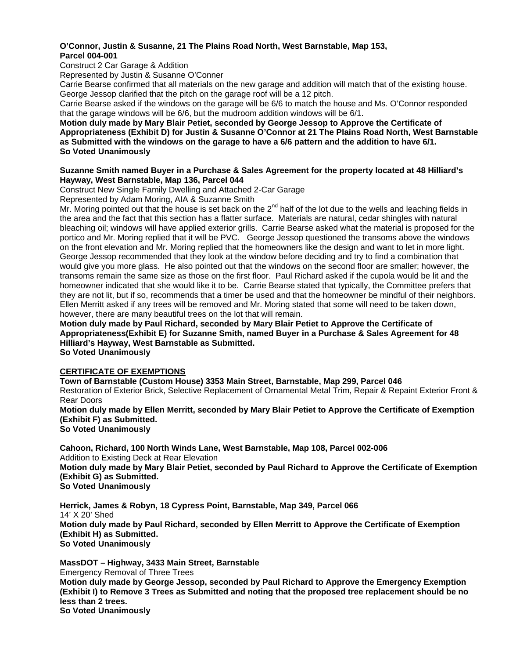## **O'Connor, Justin & Susanne, 21 The Plains Road North, West Barnstable, Map 153, Parcel 004-001**

Construct 2 Car Garage & Addition

Represented by Justin & Susanne O'Conner

Carrie Bearse confirmed that all materials on the new garage and addition will match that of the existing house. George Jessop clarified that the pitch on the garage roof will be a 12 pitch.

Carrie Bearse asked if the windows on the garage will be 6/6 to match the house and Ms. O'Connor responded that the garage windows will be 6/6, but the mudroom addition windows will be 6/1.

**Motion duly made by Mary Blair Petiet, seconded by George Jessop to Approve the Certificate of Appropriateness (Exhibit D) for Justin & Susanne O'Connor at 21 The Plains Road North, West Barnstable as Submitted with the windows on the garage to have a 6/6 pattern and the addition to have 6/1. So Voted Unanimously** 

#### **Suzanne Smith named Buyer in a Purchase & Sales Agreement for the property located at 48 Hilliard's Hayway, West Barnstable, Map 136, Parcel 044**

Construct New Single Family Dwelling and Attached 2-Car Garage

Represented by Adam Moring, AIA & Suzanne Smith

Mr. Moring pointed out that the house is set back on the  $2^{nd}$  half of the lot due to the wells and leaching fields in the area and the fact that this section has a flatter surface. Materials are natural, cedar shingles with natural bleaching oil; windows will have applied exterior grills. Carrie Bearse asked what the material is proposed for the portico and Mr. Moring replied that it will be PVC. George Jessop questioned the transoms above the windows on the front elevation and Mr. Moring replied that the homeowners like the design and want to let in more light. George Jessop recommended that they look at the window before deciding and try to find a combination that would give you more glass. He also pointed out that the windows on the second floor are smaller; however, the transoms remain the same size as those on the first floor. Paul Richard asked if the cupola would be lit and the homeowner indicated that she would like it to be. Carrie Bearse stated that typically, the Committee prefers that they are not lit, but if so, recommends that a timer be used and that the homeowner be mindful of their neighbors. Ellen Merritt asked if any trees will be removed and Mr. Moring stated that some will need to be taken down, however, there are many beautiful trees on the lot that will remain.

**Motion duly made by Paul Richard, seconded by Mary Blair Petiet to Approve the Certificate of Appropriateness(Exhibit E) for Suzanne Smith, named Buyer in a Purchase & Sales Agreement for 48 Hilliard's Hayway, West Barnstable as Submitted. So Voted Unanimously** 

## **CERTIFICATE OF EXEMPTIONS**

**Town of Barnstable (Custom House) 3353 Main Street, Barnstable, Map 299, Parcel 046**  Restoration of Exterior Brick, Selective Replacement of Ornamental Metal Trim, Repair & Repaint Exterior Front & Rear Doors **Motion duly made by Ellen Merritt, seconded by Mary Blair Petiet to Approve the Certificate of Exemption (Exhibit F) as Submitted.** 

**So Voted Unanimously** 

**Cahoon, Richard, 100 North Winds Lane, West Barnstable, Map 108, Parcel 002-006**  Addition to Existing Deck at Rear Elevation **Motion duly made by Mary Blair Petiet, seconded by Paul Richard to Approve the Certificate of Exemption (Exhibit G) as Submitted. So Voted Unanimously** 

**Herrick, James & Robyn, 18 Cypress Point, Barnstable, Map 349, Parcel 066**  14' X 20' Shed **Motion duly made by Paul Richard, seconded by Ellen Merritt to Approve the Certificate of Exemption (Exhibit H) as Submitted. So Voted Unanimously** 

**MassDOT – Highway, 3433 Main Street, Barnstable** 

Emergency Removal of Three Trees

**Motion duly made by George Jessop, seconded by Paul Richard to Approve the Emergency Exemption (Exhibit I) to Remove 3 Trees as Submitted and noting that the proposed tree replacement should be no less than 2 trees.** 

**So Voted Unanimously**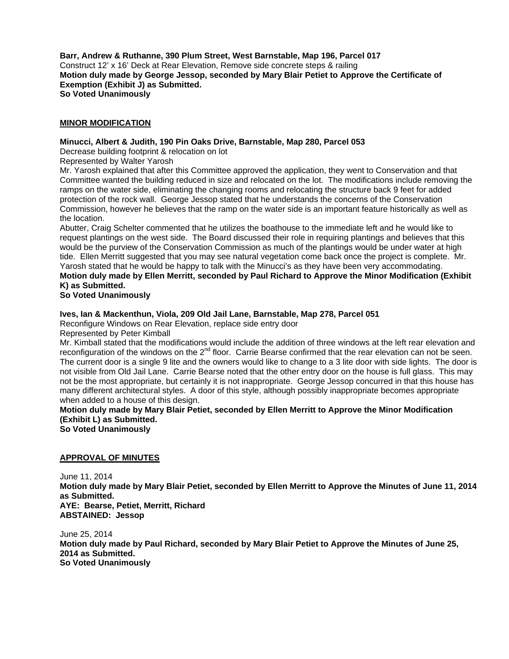**Barr, Andrew & Ruthanne, 390 Plum Street, West Barnstable, Map 196, Parcel 017**  Construct 12' x 16' Deck at Rear Elevation, Remove side concrete steps & railing **Motion duly made by George Jessop, seconded by Mary Blair Petiet to Approve the Certificate of Exemption (Exhibit J) as Submitted. So Voted Unanimously** 

#### **MINOR MODIFICATION**

### **Minucci, Albert & Judith, 190 Pin Oaks Drive, Barnstable, Map 280, Parcel 053**

Decrease building footprint & relocation on lot

Represented by Walter Yarosh

Mr. Yarosh explained that after this Committee approved the application, they went to Conservation and that Committee wanted the building reduced in size and relocated on the lot. The modifications include removing the ramps on the water side, eliminating the changing rooms and relocating the structure back 9 feet for added protection of the rock wall. George Jessop stated that he understands the concerns of the Conservation Commission, however he believes that the ramp on the water side is an important feature historically as well as the location.

Abutter, Craig Schelter commented that he utilizes the boathouse to the immediate left and he would like to request plantings on the west side. The Board discussed their role in requiring plantings and believes that this would be the purview of the Conservation Commission as much of the plantings would be under water at high tide. Ellen Merritt suggested that you may see natural vegetation come back once the project is complete. Mr. Yarosh stated that he would be happy to talk with the Minucci's as they have been very accommodating. **Motion duly made by Ellen Merritt, seconded by Paul Richard to Approve the Minor Modification (Exhibit K) as Submitted.** 

**So Voted Unanimously** 

### **Ives, Ian & Mackenthun, Viola, 209 Old Jail Lane, Barnstable, Map 278, Parcel 051**

Reconfigure Windows on Rear Elevation, replace side entry door

Represented by Peter Kimball

Mr. Kimball stated that the modifications would include the addition of three windows at the left rear elevation and reconfiguration of the windows on the  $2^{nd}$  floor. Carrie Bearse confirmed that the rear elevation can not be seen. The current door is a single 9 lite and the owners would like to change to a 3 lite door with side lights. The door is not visible from Old Jail Lane. Carrie Bearse noted that the other entry door on the house is full glass. This may not be the most appropriate, but certainly it is not inappropriate. George Jessop concurred in that this house has many different architectural styles. A door of this style, although possibly inappropriate becomes appropriate when added to a house of this design.

# **Motion duly made by Mary Blair Petiet, seconded by Ellen Merritt to Approve the Minor Modification (Exhibit L) as Submitted.**

**So Voted Unanimously** 

#### **APPROVAL OF MINUTES**

June 11, 2014 **Motion duly made by Mary Blair Petiet, seconded by Ellen Merritt to Approve the Minutes of June 11, 2014 as Submitted. AYE: Bearse, Petiet, Merritt, Richard ABSTAINED: Jessop** 

June 25, 2014 **Motion duly made by Paul Richard, seconded by Mary Blair Petiet to Approve the Minutes of June 25, 2014 as Submitted. So Voted Unanimously**